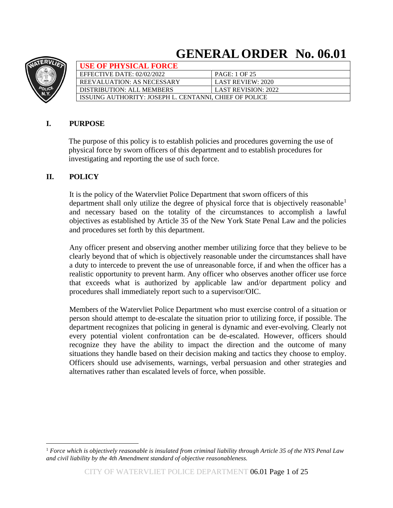# **GENERALORDER No. 06.01**



| <b>USE OF PHYSICAL FORCE</b>                           |                            |
|--------------------------------------------------------|----------------------------|
| EFFECTIVE DATE: $02/02/2022$                           | <b>PAGE: 1 OF 25</b>       |
| REEVALUATION: AS NECESSARY                             | LAST REVIEW: 2020          |
| DISTRIBUTION: ALL MEMBERS                              | <b>LAST REVISION: 2022</b> |
| ISSUING AUTHORITY: JOSEPH L. CENTANNI. CHIEF OF POLICE |                            |

# **I. PURPOSE**

 The purpose of this policy is to establish policies and procedures governing the use of physical force by sworn officers of this department and to establish procedures for investigating and reporting the use of such force.

## **II. POLICY**

It is the policy of the Watervliet Police Department that sworn officers of this department shall only utilize the degree of physical force that is objectively reasonable<sup>1</sup> and necessary based on the totality of the circumstances to accomplish a lawful objectives as established by Article 35 of the New York State Penal Law and the policies and procedures set forth by this department.

Any officer present and observing another member utilizing force that they believe to be clearly beyond that of which is objectively reasonable under the circumstances shall have a duty to intercede to prevent the use of unreasonable force, if and when the officer has a realistic opportunity to prevent harm. Any officer who observes another officer use force that exceeds what is authorized by applicable law and/or department policy and procedures shall immediately report such to a supervisor/OIC.

Members of the Watervliet Police Department who must exercise control of a situation or person should attempt to de-escalate the situation prior to utilizing force, if possible. The department recognizes that policing in general is dynamic and ever-evolving. Clearly not every potential violent confrontation can be de-escalated. However, officers should recognize they have the ability to impact the direction and the outcome of many situations they handle based on their decision making and tactics they choose to employ. Officers should use advisements, warnings, verbal persuasion and other strategies and alternatives rather than escalated levels of force, when possible.

<sup>1</sup> *Force which is objectively reasonable is insulated from criminal liability through Article 35 of the NYS Penal Law and civil liability by the 4th Amendment standard of objective reasonableness.*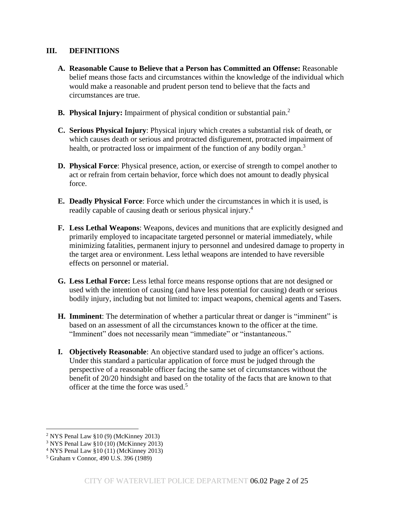### **III. DEFINITIONS**

- **A. Reasonable Cause to Believe that a Person has Committed an Offense:** Reasonable belief means those facts and circumstances within the knowledge of the individual which would make a reasonable and prudent person tend to believe that the facts and circumstances are true.
- **B.** Physical Injury: Impairment of physical condition or substantial pain.<sup>2</sup>
- **C. Serious Physical Injury**: Physical injury which creates a substantial risk of death, or which causes death or serious and protracted disfigurement, protracted impairment of health, or protracted loss or impairment of the function of any bodily organ.<sup>3</sup>
- **D. Physical Force**: Physical presence, action, or exercise of strength to compel another to act or refrain from certain behavior, force which does not amount to deadly physical force.
- **E. Deadly Physical Force**: Force which under the circumstances in which it is used, is readily capable of causing death or serious physical injury.<sup>4</sup>
- **F. Less Lethal Weapons**: Weapons, devices and munitions that are explicitly designed and primarily employed to incapacitate targeted personnel or material immediately, while minimizing fatalities, permanent injury to personnel and undesired damage to property in the target area or environment. Less lethal weapons are intended to have reversible effects on personnel or material.
- **G. Less Lethal Force:** Less lethal force means response options that are not designed or used with the intention of causing (and have less potential for causing) death or serious bodily injury, including but not limited to: impact weapons, chemical agents and Tasers.
- **H. Imminent**: The determination of whether a particular threat or danger is "imminent" is based on an assessment of all the circumstances known to the officer at the time. "Imminent" does not necessarily mean "immediate" or "instantaneous."
- **I. Objectively Reasonable**: An objective standard used to judge an officer's actions. Under this standard a particular application of force must be judged through the perspective of a reasonable officer facing the same set of circumstances without the benefit of 20/20 hindsight and based on the totality of the facts that are known to that officer at the time the force was used.<sup>5</sup>

 $2$  NYS Penal Law §10 (9) (McKinney 2013)

<sup>3</sup> NYS Penal Law §10 (10) (McKinney 2013)

<sup>4</sup> NYS Penal Law §10 (11) (McKinney 2013)

<sup>5</sup> Graham v Connor, 490 U.S. 396 (1989)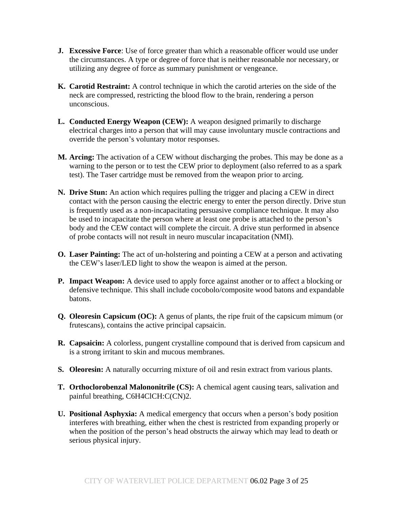- **J. Excessive Force**: Use of force greater than which a reasonable officer would use under the circumstances. A type or degree of force that is neither reasonable nor necessary, or utilizing any degree of force as summary punishment or vengeance.
- **K. Carotid Restraint:** A control technique in which the carotid arteries on the side of the neck are compressed, restricting the blood flow to the brain, rendering a person unconscious.
- **L. Conducted Energy Weapon (CEW):** A weapon designed primarily to discharge electrical charges into a person that will may cause involuntary muscle contractions and override the person's voluntary motor responses.
- **M. Arcing:** The activation of a CEW without discharging the probes. This may be done as a warning to the person or to test the CEW prior to deployment (also referred to as a spark test). The Taser cartridge must be removed from the weapon prior to arcing.
- **N. Drive Stun:** An action which requires pulling the trigger and placing a CEW in direct contact with the person causing the electric energy to enter the person directly. Drive stun is frequently used as a non-incapacitating persuasive compliance technique. It may also be used to incapacitate the person where at least one probe is attached to the person's body and the CEW contact will complete the circuit. A drive stun performed in absence of probe contacts will not result in neuro muscular incapacitation (NMI).
- **O. Laser Painting:** The act of un-holstering and pointing a CEW at a person and activating the CEW's laser/LED light to show the weapon is aimed at the person.
- **P. Impact Weapon:** A device used to apply force against another or to affect a blocking or defensive technique. This shall include cocobolo/composite wood batons and expandable batons.
- **Q. Oleoresin Capsicum (OC):** A genus of plants, the ripe fruit of the capsicum mimum (or frutescans), contains the active principal capsaicin.
- **R. Capsaicin:** A colorless, pungent crystalline compound that is derived from capsicum and is a strong irritant to skin and mucous membranes.
- **S. Oleoresin:** A naturally occurring mixture of oil and resin extract from various plants.
- **T. Orthoclorobenzal Malononitrile (CS):** A chemical agent causing tears, salivation and painful breathing, C6H4ClCH:C(CN)2.
- **U. Positional Asphyxia:** A medical emergency that occurs when a person's body position interferes with breathing, either when the chest is restricted from expanding properly or when the position of the person's head obstructs the airway which may lead to death or serious physical injury.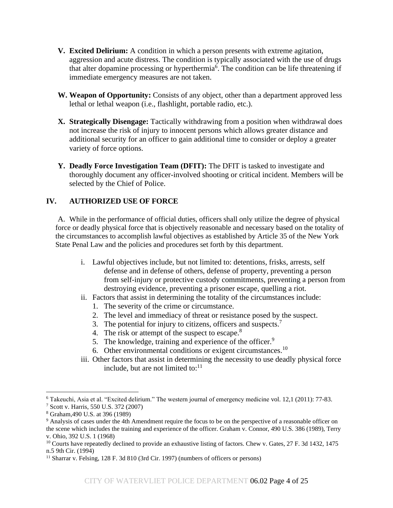- **V. Excited Delirium:** A condition in which a person presents with extreme agitation, aggression and acute distress. The condition is typically associated with the use of drugs that alter dopamine processing or hyperthermia<sup>6</sup>. The condition can be life threatening if immediate emergency measures are not taken.
- **W. Weapon of Opportunity:** Consists of any object, other than a department approved less lethal or lethal weapon (i.e., flashlight, portable radio, etc.).
- **X. Strategically Disengage:** Tactically withdrawing from a position when withdrawal does not increase the risk of injury to innocent persons which allows greater distance and additional security for an officer to gain additional time to consider or deploy a greater variety of force options.
- **Y. Deadly Force Investigation Team (DFIT):** The DFIT is tasked to investigate and thoroughly document any officer-involved shooting or critical incident. Members will be selected by the Chief of Police.

## **IV. AUTHORIZED USE OF FORCE**

A. While in the performance of official duties, officers shall only utilize the degree of physical force or deadly physical force that is objectively reasonable and necessary based on the totality of the circumstances to accomplish lawful objectives as established by Article 35 of the New York State Penal Law and the policies and procedures set forth by this department.

- i. Lawful objectives include, but not limited to: detentions, frisks, arrests, self defense and in defense of others, defense of property, preventing a person from self-injury or protective custody commitments, preventing a person from destroying evidence, preventing a prisoner escape, quelling a riot.
- ii. Factors that assist in determining the totality of the circumstances include:
	- 1. The severity of the crime or circumstance.
	- 2. The level and immediacy of threat or resistance posed by the suspect.
	- 3. The potential for injury to citizens, officers and suspects.<sup>7</sup>
	- 4. The risk or attempt of the suspect to escape. $8$
	- 5. The knowledge, training and experience of the officer.<sup>9</sup>
	- 6. Other environmental conditions or exigent circumstances.<sup>10</sup>
- iii. Other factors that assist in determining the necessity to use deadly physical force include, but are not limited to:<sup>11</sup>

<sup>6</sup> Takeuchi, Asia et al. "Excited delirium." The western journal of emergency medicine vol. 12,1 (2011): 77-83. <sup>7</sup> Scott v. Harris, 550 U.S. 372 (2007)

<sup>8</sup> Graham,490 U.S. at 396 (1989)

<sup>&</sup>lt;sup>9</sup> Analysis of cases under the 4th Amendment require the focus to be on the perspective of a reasonable officer on the scene which includes the training and experience of the officer. Graham v. Connor, 490 U.S. 386 (1989), Terry v. Ohio, 392 U.S. 1 (1968)

<sup>&</sup>lt;sup>10</sup> Courts have repeatedly declined to provide an exhaustive listing of factors. Chew v. Gates, 27 F. 3d 1432, 1475 n.5 9th Cir. (1994)

<sup>&</sup>lt;sup>11</sup> Sharrar v. Felsing, 128 F. 3d 810 (3rd Cir. 1997) (numbers of officers or persons)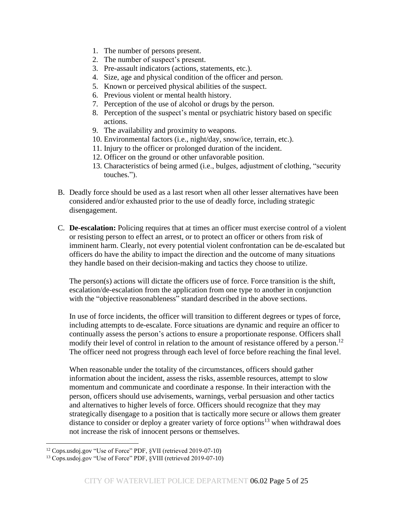- 1. The number of persons present.
- 2. The number of suspect's present.
- 3. Pre-assault indicators (actions, statements, etc.).
- 4. Size, age and physical condition of the officer and person.
- 5. Known or perceived physical abilities of the suspect.
- 6. Previous violent or mental health history.
- 7. Perception of the use of alcohol or drugs by the person.
- 8. Perception of the suspect's mental or psychiatric history based on specific actions.
- 9. The availability and proximity to weapons.
- 10. Environmental factors (i.e., night/day, snow/ice, terrain, etc.).
- 11. Injury to the officer or prolonged duration of the incident.
- 12. Officer on the ground or other unfavorable position.
- 13. Characteristics of being armed (i.e., bulges, adjustment of clothing, "security touches.").
- B. Deadly force should be used as a last resort when all other lesser alternatives have been considered and/or exhausted prior to the use of deadly force, including strategic disengagement.
- C. **De-escalation:** Policing requires that at times an officer must exercise control of a violent or resisting person to effect an arrest, or to protect an officer or others from risk of imminent harm. Clearly, not every potential violent confrontation can be de-escalated but officers do have the ability to impact the direction and the outcome of many situations they handle based on their decision-making and tactics they choose to utilize.

The person(s) actions will dictate the officers use of force. Force transition is the shift, escalation/de-escalation from the application from one type to another in conjunction with the "objective reasonableness" standard described in the above sections.

In use of force incidents, the officer will transition to different degrees or types of force, including attempts to de-escalate. Force situations are dynamic and require an officer to continually assess the person's actions to ensure a proportionate response. Officers shall modify their level of control in relation to the amount of resistance offered by a person. 12 The officer need not progress through each level of force before reaching the final level.

When reasonable under the totality of the circumstances, officers should gather information about the incident, assess the risks, assemble resources, attempt to slow momentum and communicate and coordinate a response. In their interaction with the person, officers should use advisements, warnings, verbal persuasion and other tactics and alternatives to higher levels of force. Officers should recognize that they may strategically disengage to a position that is tactically more secure or allows them greater distance to consider or deploy a greater variety of force options $13$  when withdrawal does not increase the risk of innocent persons or themselves.

<sup>12</sup> Cops.usdoj.gov "Use of Force" PDF, §VII (retrieved 2019-07-10)

<sup>13</sup> Cops.usdoj.gov "Use of Force" PDF, §VIII (retrieved 2019-07-10)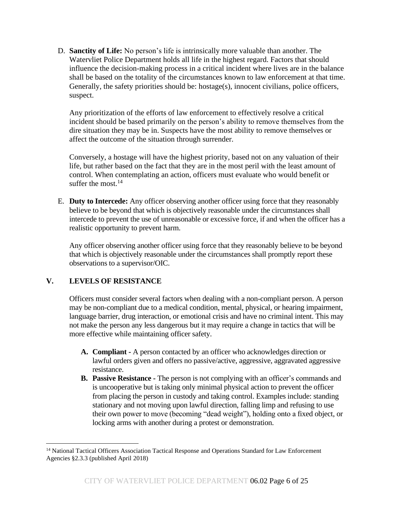D. **Sanctity of Life:** No person's life is intrinsically more valuable than another. The Watervliet Police Department holds all life in the highest regard. Factors that should influence the decision-making process in a critical incident where lives are in the balance shall be based on the totality of the circumstances known to law enforcement at that time. Generally, the safety priorities should be: hostage(s), innocent civilians, police officers, suspect.

Any prioritization of the efforts of law enforcement to effectively resolve a critical incident should be based primarily on the person's ability to remove themselves from the dire situation they may be in. Suspects have the most ability to remove themselves or affect the outcome of the situation through surrender.

Conversely, a hostage will have the highest priority, based not on any valuation of their life, but rather based on the fact that they are in the most peril with the least amount of control. When contemplating an action, officers must evaluate who would benefit or suffer the most.<sup>14</sup>

E. **Duty to Intercede:** Any officer observing another officer using force that they reasonably believe to be beyond that which is objectively reasonable under the circumstances shall intercede to prevent the use of unreasonable or excessive force, if and when the officer has a realistic opportunity to prevent harm.

Any officer observing another officer using force that they reasonably believe to be beyond that which is objectively reasonable under the circumstances shall promptly report these observations to a supervisor/OIC.

# **V. LEVELS OF RESISTANCE**

Officers must consider several factors when dealing with a non-compliant person. A person may be non-compliant due to a medical condition, mental, physical, or hearing impairment, language barrier, drug interaction, or emotional crisis and have no criminal intent. This may not make the person any less dangerous but it may require a change in tactics that will be more effective while maintaining officer safety.

- **A. Compliant -** A person contacted by an officer who acknowledges direction or lawful orders given and offers no passive/active, aggressive, aggravated aggressive resistance.
- **B. Passive Resistance -** The person is not complying with an officer's commands and is uncooperative but is taking only minimal physical action to prevent the officer from placing the person in custody and taking control. Examples include: standing stationary and not moving upon lawful direction, falling limp and refusing to use their own power to move (becoming "dead weight"), holding onto a fixed object, or locking arms with another during a protest or demonstration.

<sup>&</sup>lt;sup>14</sup> National Tactical Officers Association Tactical Response and Operations Standard for Law Enforcement Agencies §2.3.3 (published April 2018)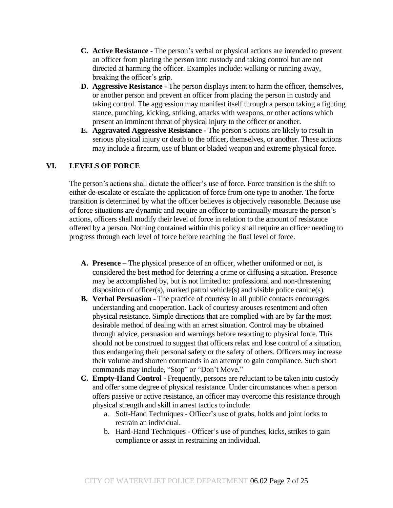- **C. Active Resistance -** The person's verbal or physical actions are intended to prevent an officer from placing the person into custody and taking control but are not directed at harming the officer. Examples include: walking or running away, breaking the officer's grip.
- **D. Aggressive Resistance -** The person displays intent to harm the officer, themselves, or another person and prevent an officer from placing the person in custody and taking control. The aggression may manifest itself through a person taking a fighting stance, punching, kicking, striking, attacks with weapons, or other actions which present an imminent threat of physical injury to the officer or another.
- **E. Aggravated Aggressive Resistance -** The person's actions are likely to result in serious physical injury or death to the officer, themselves, or another. These actions may include a firearm, use of blunt or bladed weapon and extreme physical force.

## **VI. LEVELS OF FORCE**

The person's actions shall dictate the officer's use of force. Force transition is the shift to either de-escalate or escalate the application of force from one type to another. The force transition is determined by what the officer believes is objectively reasonable. Because use of force situations are dynamic and require an officer to continually measure the person's actions, officers shall modify their level of force in relation to the amount of resistance offered by a person. Nothing contained within this policy shall require an officer needing to progress through each level of force before reaching the final level of force.

- **A. Presence –** The physical presence of an officer, whether uniformed or not, is considered the best method for deterring a crime or diffusing a situation. Presence may be accomplished by, but is not limited to: professional and non-threatening disposition of officer(s), marked patrol vehicle(s) and visible police canine(s).
- **B. Verbal Persuasion -** The practice of courtesy in all public contacts encourages understanding and cooperation. Lack of courtesy arouses resentment and often physical resistance. Simple directions that are complied with are by far the most desirable method of dealing with an arrest situation. Control may be obtained through advice, persuasion and warnings before resorting to physical force. This should not be construed to suggest that officers relax and lose control of a situation, thus endangering their personal safety or the safety of others. Officers may increase their volume and shorten commands in an attempt to gain compliance. Such short commands may include, "Stop" or "Don't Move."
- **C. Empty-Hand Control -** Frequently, persons are reluctant to be taken into custody and offer some degree of physical resistance. Under circumstances when a person offers passive or active resistance, an officer may overcome this resistance through physical strength and skill in arrest tactics to include:
	- a. Soft-Hand Techniques Officer's use of grabs, holds and joint locks to restrain an individual.
	- b. Hard-Hand Techniques Officer's use of punches, kicks, strikes to gain compliance or assist in restraining an individual.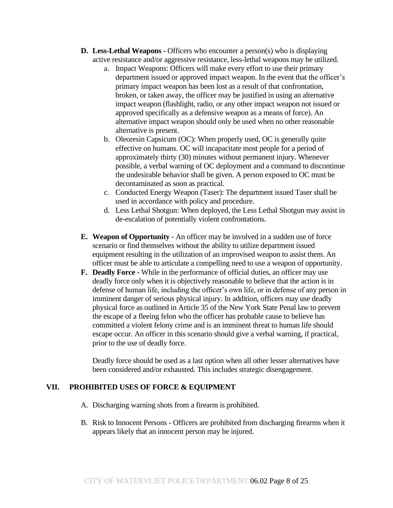- **D. Less-Lethal Weapons -** Officers who encounter a person(s) who is displaying active resistance and/or aggressive resistance, less-lethal weapons may be utilized.
	- a. Impact Weapons: Officers will make every effort to use their primary department issued or approved impact weapon. In the event that the officer's primary impact weapon has been lost as a result of that confrontation, broken, or taken away, the officer may be justified in using an alternative impact weapon (flashlight, radio, or any other impact weapon not issued or approved specifically as a defensive weapon as a means of force). An alternative impact weapon should only be used when no other reasonable alternative is present.
	- b. Oleoresin Capsicum (OC): When properly used, OC is generally quite effective on humans. OC will incapacitate most people for a period of approximately thirty (30) minutes without permanent injury. Whenever possible, a verbal warning of OC deployment and a command to discontinue the undesirable behavior shall be given. A person exposed to OC must be decontaminated as soon as practical.
	- c. Conducted Energy Weapon (Taser): The department issued Taser shall be used in accordance with policy and procedure.
	- d. Less Lethal Shotgun: When deployed, the Less Lethal Shotgun may assist in de-escalation of potentially violent confrontations.
- **E. Weapon of Opportunity -** An officer may be involved in a sudden use of force scenario or find themselves without the ability to utilize department issued equipment resulting in the utilization of an improvised weapon to assist them. An officer must be able to articulate a compelling need to use a weapon of opportunity.
- **F. Deadly Force -** While in the performance of official duties, an officer may use deadly force only when it is objectively reasonable to believe that the action is in defense of human life, including the officer's own life, or in defense of any person in imminent danger of serious physical injury. In addition, officers may use deadly physical force as outlined in Article 35 of the New York State Penal law to prevent the escape of a fleeing felon who the officer has probable cause to believe has committed a violent felony crime and is an imminent threat to human life should escape occur. An officer in this scenario should give a verbal warning, if practical, prior to the use of deadly force.

Deadly force should be used as a last option when all other lesser alternatives have been considered and/or exhausted. This includes strategic disengagement.

#### **VII. PROHIBITED USES OF FORCE & EQUIPMENT**

- A. Discharging warning shots from a firearm is prohibited.
- B. Risk to Innocent Persons Officers are prohibited from discharging firearms when it appears likely that an innocent person may be injured.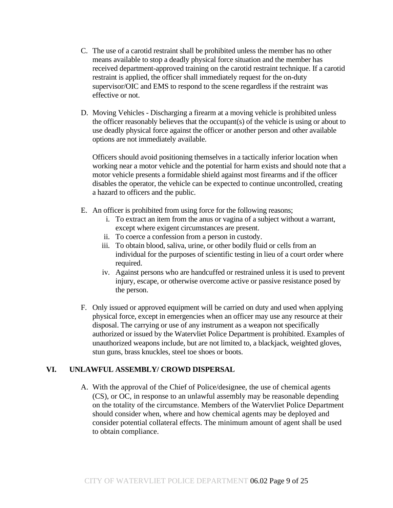- C. The use of a carotid restraint shall be prohibited unless the member has no other means available to stop a deadly physical force situation and the member has received department-approved training on the carotid restraint technique. If a carotid restraint is applied, the officer shall immediately request for the on-duty supervisor/OIC and EMS to respond to the scene regardless if the restraint was effective or not.
- D. Moving Vehicles Discharging a firearm at a moving vehicle is prohibited unless the officer reasonably believes that the occupant(s) of the vehicle is using or about to use deadly physical force against the officer or another person and other available options are not immediately available.

Officers should avoid positioning themselves in a tactically inferior location when working near a motor vehicle and the potential for harm exists and should note that a motor vehicle presents a formidable shield against most firearms and if the officer disables the operator, the vehicle can be expected to continue uncontrolled, creating a hazard to officers and the public.

- E. An officer is prohibited from using force for the following reasons;
	- i. To extract an item from the anus or vagina of a subject without a warrant, except where exigent circumstances are present.
	- ii. To coerce a confession from a person in custody.
	- iii. To obtain blood, saliva, urine, or other bodily fluid or cells from an individual for the purposes of scientific testing in lieu of a court order where required.
	- iv. Against persons who are handcuffed or restrained unless it is used to prevent injury, escape, or otherwise overcome active or passive resistance posed by the person.
- F. Only issued or approved equipment will be carried on duty and used when applying physical force, except in emergencies when an officer may use any resource at their disposal. The carrying or use of any instrument as a weapon not specifically authorized or issued by the Watervliet Police Department is prohibited. Examples of unauthorized weapons include, but are not limited to, a blackjack, weighted gloves, stun guns, brass knuckles, steel toe shoes or boots.

# **VI. UNLAWFUL ASSEMBLY/ CROWD DISPERSAL**

A. With the approval of the Chief of Police/designee, the use of chemical agents (CS), or OC, in response to an unlawful assembly may be reasonable depending on the totality of the circumstance. Members of the Watervliet Police Department should consider when, where and how chemical agents may be deployed and consider potential collateral effects. The minimum amount of agent shall be used to obtain compliance.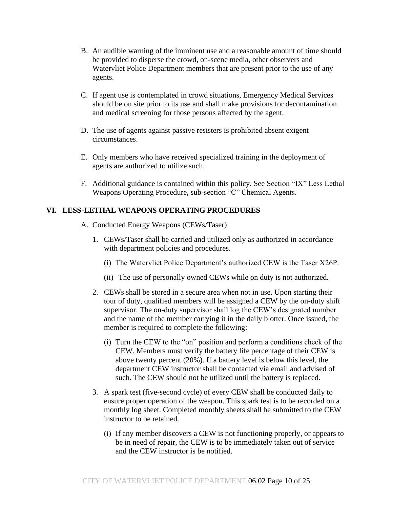- B. An audible warning of the imminent use and a reasonable amount of time should be provided to disperse the crowd, on-scene media, other observers and Watervliet Police Department members that are present prior to the use of any agents.
- C. If agent use is contemplated in crowd situations, Emergency Medical Services should be on site prior to its use and shall make provisions for decontamination and medical screening for those persons affected by the agent.
- D. The use of agents against passive resisters is prohibited absent exigent circumstances.
- E. Only members who have received specialized training in the deployment of agents are authorized to utilize such.
- F. Additional guidance is contained within this policy. See Section "IX" Less Lethal Weapons Operating Procedure, sub-section "C" Chemical Agents.

## **VI. LESS-LETHAL WEAPONS OPERATING PROCEDURES**

- A. Conducted Energy Weapons (CEWs/Taser)
	- 1. CEWs/Taser shall be carried and utilized only as authorized in accordance with department policies and procedures.
		- (i) The Watervliet Police Department's authorized CEW is the Taser X26P.
		- (ii) The use of personally owned CEWs while on duty is not authorized.
	- 2. CEWs shall be stored in a secure area when not in use. Upon starting their tour of duty, qualified members will be assigned a CEW by the on-duty shift supervisor. The on-duty supervisor shall log the CEW's designated number and the name of the member carrying it in the daily blotter. Once issued, the member is required to complete the following:
		- (i) Turn the CEW to the "on" position and perform a conditions check of the CEW. Members must verify the battery life percentage of their CEW is above twenty percent (20%). If a battery level is below this level, the department CEW instructor shall be contacted via email and advised of such. The CEW should not be utilized until the battery is replaced.
	- 3. A spark test (five-second cycle) of every CEW shall be conducted daily to ensure proper operation of the weapon. This spark test is to be recorded on a monthly log sheet. Completed monthly sheets shall be submitted to the CEW instructor to be retained.
		- (i) If any member discovers a CEW is not functioning properly, or appears to be in need of repair, the CEW is to be immediately taken out of service and the CEW instructor is be notified.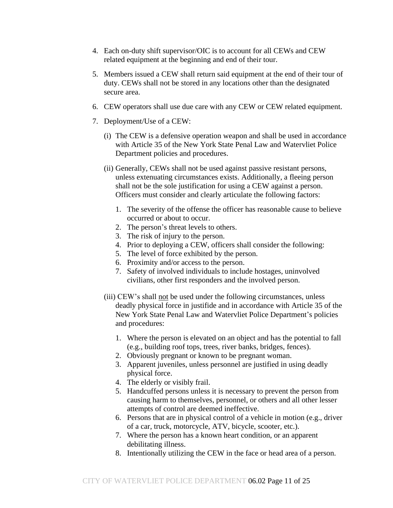- 4. Each on-duty shift supervisor/OIC is to account for all CEWs and CEW related equipment at the beginning and end of their tour.
- 5. Members issued a CEW shall return said equipment at the end of their tour of duty. CEWs shall not be stored in any locations other than the designated secure area.
- 6. CEW operators shall use due care with any CEW or CEW related equipment.
- 7. Deployment/Use of a CEW:
	- (i) The CEW is a defensive operation weapon and shall be used in accordance with Article 35 of the New York State Penal Law and Watervliet Police Department policies and procedures.
	- (ii) Generally, CEWs shall not be used against passive resistant persons, unless extenuating circumstances exists. Additionally, a fleeing person shall not be the sole justification for using a CEW against a person. Officers must consider and clearly articulate the following factors:
		- 1. The severity of the offense the officer has reasonable cause to believe occurred or about to occur.
		- 2. The person's threat levels to others.
		- 3. The risk of injury to the person.
		- 4. Prior to deploying a CEW, officers shall consider the following:
		- 5. The level of force exhibited by the person.
		- 6. Proximity and/or access to the person.
		- 7. Safety of involved individuals to include hostages, uninvolved civilians, other first responders and the involved person.
	- (iii) CEW's shall not be used under the following circumstances, unless deadly physical force in justifide and in accordance with Article 35 of the New York State Penal Law and Watervliet Police Department's policies and procedures:
		- 1. Where the person is elevated on an object and has the potential to fall (e.g., building roof tops, trees, river banks, bridges, fences).
		- 2. Obviously pregnant or known to be pregnant woman.
		- 3. Apparent juveniles, unless personnel are justified in using deadly physical force.
		- 4. The elderly or visibly frail.
		- 5. Handcuffed persons unless it is necessary to prevent the person from causing harm to themselves, personnel, or others and all other lesser attempts of control are deemed ineffective.
		- 6. Persons that are in physical control of a vehicle in motion (e.g., driver of a car, truck, motorcycle, ATV, bicycle, scooter, etc.).
		- 7. Where the person has a known heart condition, or an apparent debilitating illness.
		- 8. Intentionally utilizing the CEW in the face or head area of a person.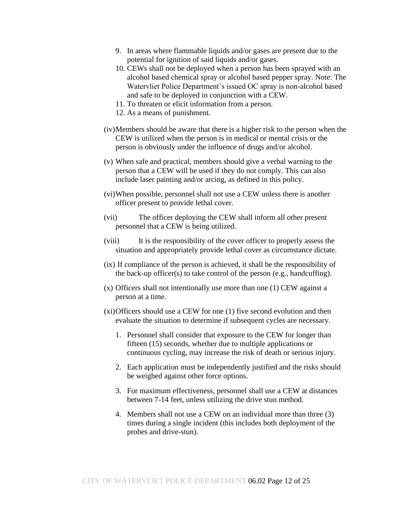- 9. In areas where flammable liquids and/or gases are present due to the potential for ignition of said liquids and/or gases.
- 10. CEWs shall not be deployed when a person has been sprayed with an alcohol based chemical spray or alcohol based pepper spray. Note: The Watervliet Police Department's issued OC spray is non-alcohol based and safe to be deployed in conjunction with a CEW.
- 11. To threaten or elicit information from a person.
- 12. As a means of punishment.
- (iv)Members should be aware that there is a higher risk to the person when the CEW is utilized when the person is in medical or mental crisis or the person is obviously under the influence of drugs and/or alcohol.
- (v) When safe and practical, members should give a verbal warning to the person that a CEW will be used if they do not comply. This can also include laser painting and/or arcing, as defined in this policy.
- (vi)When possible, personnel shall not use a CEW unless there is another officer present to provide lethal cover.
- (vii) The officer deploying the CEW shall inform all other present personnel that a CEW is being utilized.
- (viii) It is the responsibility of the cover officer to properly assess the situation and appropriately provide lethal cover as circumstance dictate.
- (ix) If compliance of the person is achieved, it shall be the responsibility of the back-up officer(s) to take control of the person (e.g., handcuffing).
- (x) Officers shall not intentionally use more than one (1) CEW against a person at a time.
- (xi)Officers should use a CEW for one (1) five second evolution and then evaluate the situation to determine if subsequent cycles are necessary.
	- 1. Personnel shall consider that exposure to the CEW for longer than fifteen (15) seconds, whether due to multiple applications or continuous cycling, may increase the risk of death or serious injury.
	- 2. Each application must be independently justified and the risks should be weighed against other force options.
	- 3. For maximum effectiveness, personnel shall use a CEW at distances between 7-14 feet, unless utilizing the drive stun method.
	- 4. Members shall not use a CEW on an individual more than three (3) times during a single incident (this includes both deployment of the probes and drive-stun).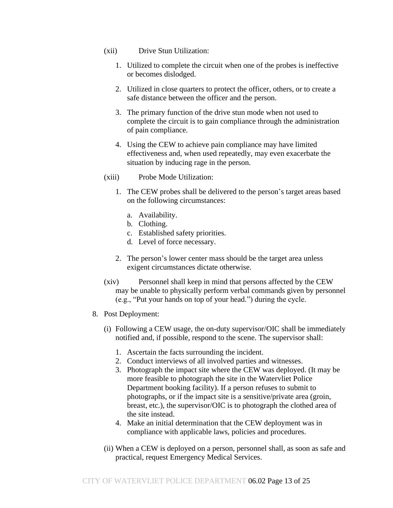- (xii) Drive Stun Utilization:
	- 1. Utilized to complete the circuit when one of the probes is ineffective or becomes dislodged.
	- 2. Utilized in close quarters to protect the officer, others, or to create a safe distance between the officer and the person.
	- 3. The primary function of the drive stun mode when not used to complete the circuit is to gain compliance through the administration of pain compliance.
	- 4. Using the CEW to achieve pain compliance may have limited effectiveness and, when used repeatedly, may even exacerbate the situation by inducing rage in the person.
- (xiii) Probe Mode Utilization:
	- 1. The CEW probes shall be delivered to the person's target areas based on the following circumstances:
		- a. Availability.
		- b. Clothing.
		- c. Established safety priorities.
		- d. Level of force necessary.
	- 2. The person's lower center mass should be the target area unless exigent circumstances dictate otherwise.
- (xiv) Personnel shall keep in mind that persons affected by the CEW may be unable to physically perform verbal commands given by personnel (e.g., "Put your hands on top of your head.") during the cycle.
- 8. Post Deployment:
	- (i) Following a CEW usage, the on-duty supervisor/OIC shall be immediately notified and, if possible, respond to the scene. The supervisor shall:
		- 1. Ascertain the facts surrounding the incident.
		- 2. Conduct interviews of all involved parties and witnesses.
		- 3. Photograph the impact site where the CEW was deployed. (It may be more feasible to photograph the site in the Watervliet Police Department booking facility). If a person refuses to submit to photographs, or if the impact site is a sensitive/private area (groin, breast, etc.), the supervisor/OIC is to photograph the clothed area of the site instead.
		- 4. Make an initial determination that the CEW deployment was in compliance with applicable laws, policies and procedures.
	- (ii) When a CEW is deployed on a person, personnel shall, as soon as safe and practical, request Emergency Medical Services.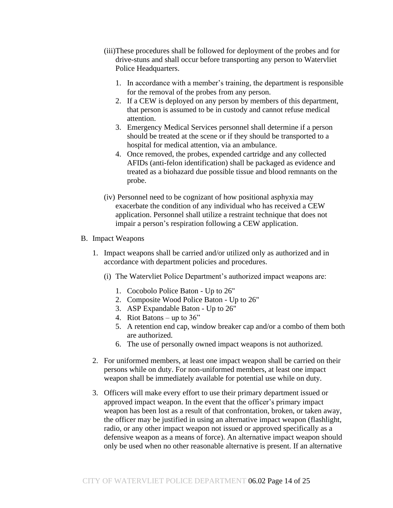- (iii)These procedures shall be followed for deployment of the probes and for drive-stuns and shall occur before transporting any person to Watervliet Police Headquarters.
	- 1. In accordance with a member's training, the department is responsible for the removal of the probes from any person.
	- 2. If a CEW is deployed on any person by members of this department, that person is assumed to be in custody and cannot refuse medical attention.
	- 3. Emergency Medical Services personnel shall determine if a person should be treated at the scene or if they should be transported to a hospital for medical attention, via an ambulance.
	- 4. Once removed, the probes, expended cartridge and any collected AFIDs (anti-felon identification) shall be packaged as evidence and treated as a biohazard due possible tissue and blood remnants on the probe.
- (iv) Personnel need to be cognizant of how positional asphyxia may exacerbate the condition of any individual who has received a CEW application. Personnel shall utilize a restraint technique that does not impair a person's respiration following a CEW application.

#### B. Impact Weapons

- 1. Impact weapons shall be carried and/or utilized only as authorized and in accordance with department policies and procedures.
	- (i) The Watervliet Police Department's authorized impact weapons are:
		- 1. Cocobolo Police Baton Up to 26"
		- 2. Composite Wood Police Baton Up to 26"
		- 3. ASP Expandable Baton Up to 26"
		- 4. Riot Batons up to 36"
		- 5. A retention end cap, window breaker cap and/or a combo of them both are authorized.
		- 6. The use of personally owned impact weapons is not authorized.
- 2. For uniformed members, at least one impact weapon shall be carried on their persons while on duty. For non-uniformed members, at least one impact weapon shall be immediately available for potential use while on duty.
- 3. Officers will make every effort to use their primary department issued or approved impact weapon. In the event that the officer's primary impact weapon has been lost as a result of that confrontation, broken, or taken away, the officer may be justified in using an alternative impact weapon (flashlight, radio, or any other impact weapon not issued or approved specifically as a defensive weapon as a means of force). An alternative impact weapon should only be used when no other reasonable alternative is present. If an alternative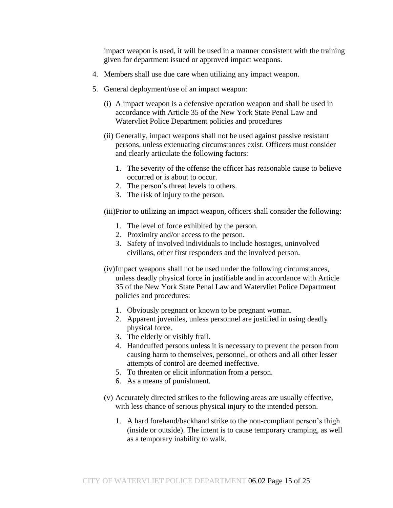impact weapon is used, it will be used in a manner consistent with the training given for department issued or approved impact weapons.

- 4. Members shall use due care when utilizing any impact weapon.
- 5. General deployment/use of an impact weapon:
	- (i) A impact weapon is a defensive operation weapon and shall be used in accordance with Article 35 of the New York State Penal Law and Watervliet Police Department policies and procedures
	- (ii) Generally, impact weapons shall not be used against passive resistant persons, unless extenuating circumstances exist. Officers must consider and clearly articulate the following factors:
		- 1. The severity of the offense the officer has reasonable cause to believe occurred or is about to occur.
		- 2. The person's threat levels to others.
		- 3. The risk of injury to the person.

(iii)Prior to utilizing an impact weapon, officers shall consider the following:

- 1. The level of force exhibited by the person.
- 2. Proximity and/or access to the person.
- 3. Safety of involved individuals to include hostages, uninvolved civilians, other first responders and the involved person.
- (iv)Impact weapons shall not be used under the following circumstances, unless deadly physical force in justifiable and in accordance with Article 35 of the New York State Penal Law and Watervliet Police Department policies and procedures:
	- 1. Obviously pregnant or known to be pregnant woman.
	- 2. Apparent juveniles, unless personnel are justified in using deadly physical force.
	- 3. The elderly or visibly frail.
	- 4. Handcuffed persons unless it is necessary to prevent the person from causing harm to themselves, personnel, or others and all other lesser attempts of control are deemed ineffective.
	- 5. To threaten or elicit information from a person.
	- 6. As a means of punishment.
- (v) Accurately directed strikes to the following areas are usually effective, with less chance of serious physical injury to the intended person.
	- 1. A hard forehand/backhand strike to the non-compliant person's thigh (inside or outside). The intent is to cause temporary cramping, as well as a temporary inability to walk.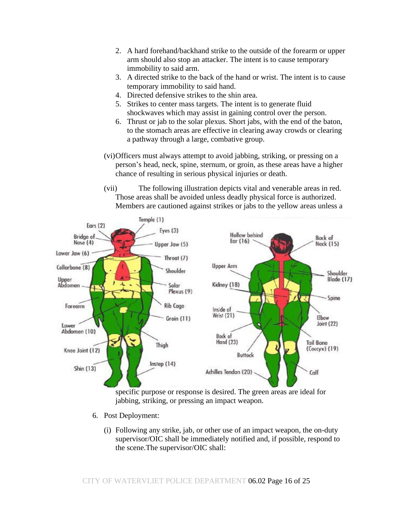- 2. A hard forehand/backhand strike to the outside of the forearm or upper arm should also stop an attacker. The intent is to cause temporary immobility to said arm.
- 3. A directed strike to the back of the hand or wrist. The intent is to cause temporary immobility to said hand.
- 4. Directed defensive strikes to the shin area.
- 5. Strikes to center mass targets. The intent is to generate fluid shockwaves which may assist in gaining control over the person.
- 6. Thrust or jab to the solar plexus. Short jabs, with the end of the baton, to the stomach areas are effective in clearing away crowds or clearing a pathway through a large, combative group.
- (vi)Officers must always attempt to avoid jabbing, striking, or pressing on a person's head, neck, spine, sternum, or groin, as these areas have a higher chance of resulting in serious physical injuries or death.
- (vii) The following illustration depicts vital and venerable areas in red. Those areas shall be avoided unless deadly physical force is authorized. Members are cautioned against strikes or jabs to the yellow areas unless a



specific purpose or response is desired. The green areas are ideal for jabbing, striking, or pressing an impact weapon.

- 6. Post Deployment:
	- (i) Following any strike, jab, or other use of an impact weapon, the on-duty supervisor/OIC shall be immediately notified and, if possible, respond to the scene.The supervisor/OIC shall: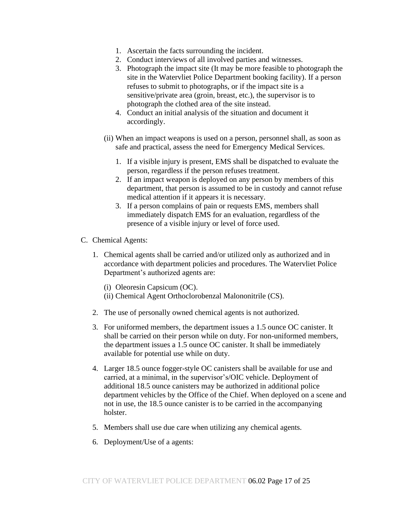- 1. Ascertain the facts surrounding the incident.
- 2. Conduct interviews of all involved parties and witnesses.
- 3. Photograph the impact site (It may be more feasible to photograph the site in the Watervliet Police Department booking facility). If a person refuses to submit to photographs, or if the impact site is a sensitive/private area (groin, breast, etc.), the supervisor is to photograph the clothed area of the site instead.
- 4. Conduct an initial analysis of the situation and document it accordingly.
- (ii) When an impact weapons is used on a person, personnel shall, as soon as safe and practical, assess the need for Emergency Medical Services.
	- 1. If a visible injury is present, EMS shall be dispatched to evaluate the person, regardless if the person refuses treatment.
	- 2. If an impact weapon is deployed on any person by members of this department, that person is assumed to be in custody and cannot refuse medical attention if it appears it is necessary.
	- 3. If a person complains of pain or requests EMS, members shall immediately dispatch EMS for an evaluation, regardless of the presence of a visible injury or level of force used.
- C. Chemical Agents:
	- 1. Chemical agents shall be carried and/or utilized only as authorized and in accordance with department policies and procedures. The Watervliet Police Department's authorized agents are:
		- (i) Oleoresin Capsicum (OC).
		- (ii) Chemical Agent Orthoclorobenzal Malononitrile (CS).
	- 2. The use of personally owned chemical agents is not authorized.
	- 3. For uniformed members, the department issues a 1.5 ounce OC canister. It shall be carried on their person while on duty. For non-uniformed members, the department issues a 1.5 ounce OC canister. It shall be immediately available for potential use while on duty.
	- 4. Larger 18.5 ounce fogger-style OC canisters shall be available for use and carried, at a minimal, in the supervisor's/OIC vehicle. Deployment of additional 18.5 ounce canisters may be authorized in additional police department vehicles by the Office of the Chief. When deployed on a scene and not in use, the 18.5 ounce canister is to be carried in the accompanying holster.
	- 5. Members shall use due care when utilizing any chemical agents.
	- 6. Deployment/Use of a agents: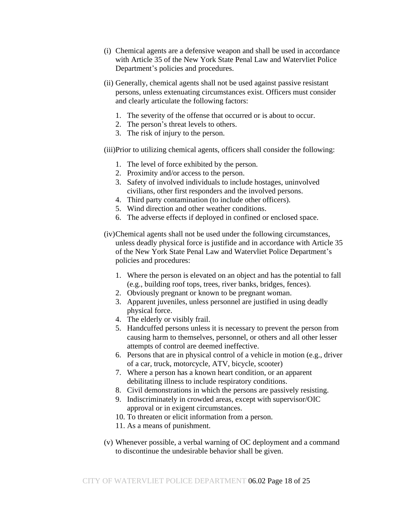- (i) Chemical agents are a defensive weapon and shall be used in accordance with Article 35 of the New York State Penal Law and Watervliet Police Department's policies and procedures.
- (ii) Generally, chemical agents shall not be used against passive resistant persons, unless extenuating circumstances exist. Officers must consider and clearly articulate the following factors:
	- 1. The severity of the offense that occurred or is about to occur.
	- 2. The person's threat levels to others.
	- 3. The risk of injury to the person.
- (iii)Prior to utilizing chemical agents, officers shall consider the following:
	- 1. The level of force exhibited by the person.
	- 2. Proximity and/or access to the person.
	- 3. Safety of involved individuals to include hostages, uninvolved civilians, other first responders and the involved persons.
	- 4. Third party contamination (to include other officers).
	- 5. Wind direction and other weather conditions.
	- 6. The adverse effects if deployed in confined or enclosed space.
- (iv)Chemical agents shall not be used under the following circumstances, unless deadly physical force is justifide and in accordance with Article 35 of the New York State Penal Law and Watervliet Police Department's policies and procedures:
	- 1. Where the person is elevated on an object and has the potential to fall (e.g., building roof tops, trees, river banks, bridges, fences).
	- 2. Obviously pregnant or known to be pregnant woman.
	- 3. Apparent juveniles, unless personnel are justified in using deadly physical force.
	- 4. The elderly or visibly frail.
	- 5. Handcuffed persons unless it is necessary to prevent the person from causing harm to themselves, personnel, or others and all other lesser attempts of control are deemed ineffective.
	- 6. Persons that are in physical control of a vehicle in motion (e.g., driver of a car, truck, motorcycle, ATV, bicycle, scooter)
	- 7. Where a person has a known heart condition, or an apparent debilitating illness to include respiratory conditions.
	- 8. Civil demonstrations in which the persons are passively resisting.
	- 9. Indiscriminately in crowded areas, except with supervisor/OIC approval or in exigent circumstances.
	- 10. To threaten or elicit information from a person.
	- 11. As a means of punishment.
- (v) Whenever possible, a verbal warning of OC deployment and a command to discontinue the undesirable behavior shall be given.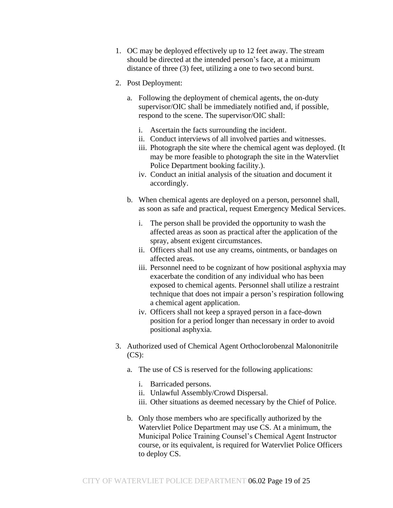- 1. OC may be deployed effectively up to 12 feet away. The stream should be directed at the intended person's face, at a minimum distance of three (3) feet, utilizing a one to two second burst.
- 2. Post Deployment:
	- a. Following the deployment of chemical agents, the on-duty supervisor/OIC shall be immediately notified and, if possible, respond to the scene. The supervisor/OIC shall:
		- i. Ascertain the facts surrounding the incident.
		- ii. Conduct interviews of all involved parties and witnesses.
		- iii. Photograph the site where the chemical agent was deployed. (It may be more feasible to photograph the site in the Watervliet Police Department booking facility.).
		- iv. Conduct an initial analysis of the situation and document it accordingly.
	- b. When chemical agents are deployed on a person, personnel shall, as soon as safe and practical, request Emergency Medical Services.
		- i. The person shall be provided the opportunity to wash the affected areas as soon as practical after the application of the spray, absent exigent circumstances.
		- ii. Officers shall not use any creams, ointments, or bandages on affected areas.
		- iii. Personnel need to be cognizant of how positional asphyxia may exacerbate the condition of any individual who has been exposed to chemical agents. Personnel shall utilize a restraint technique that does not impair a person's respiration following a chemical agent application.
		- iv. Officers shall not keep a sprayed person in a face-down position for a period longer than necessary in order to avoid positional asphyxia.
- 3. Authorized used of Chemical Agent Orthoclorobenzal Malononitrile (CS):
	- a. The use of CS is reserved for the following applications:
		- i. Barricaded persons.
		- ii. Unlawful Assembly/Crowd Dispersal.
		- iii. Other situations as deemed necessary by the Chief of Police.
	- b. Only those members who are specifically authorized by the Watervliet Police Department may use CS. At a minimum, the Municipal Police Training Counsel's Chemical Agent Instructor course, or its equivalent, is required for Watervliet Police Officers to deploy CS.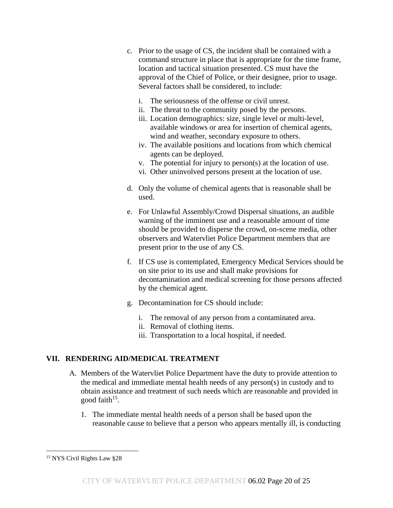- c. Prior to the usage of CS, the incident shall be contained with a command structure in place that is appropriate for the time frame, location and tactical situation presented. CS must have the approval of the Chief of Police, or their designee, prior to usage. Several factors shall be considered, to include:
	- i. The seriousness of the offense or civil unrest.
	- ii. The threat to the community posed by the persons.
	- iii. Location demographics: size, single level or multi-level, available windows or area for insertion of chemical agents, wind and weather, secondary exposure to others.
	- iv. The available positions and locations from which chemical agents can be deployed.
	- v. The potential for injury to person(s) at the location of use.
	- vi. Other uninvolved persons present at the location of use.
- d. Only the volume of chemical agents that is reasonable shall be used.
- e. For Unlawful Assembly/Crowd Dispersal situations, an audible warning of the imminent use and a reasonable amount of time should be provided to disperse the crowd, on-scene media, other observers and Watervliet Police Department members that are present prior to the use of any CS.
- f. If CS use is contemplated, Emergency Medical Services should be on site prior to its use and shall make provisions for decontamination and medical screening for those persons affected by the chemical agent.
- g. Decontamination for CS should include:
	- i. The removal of any person from a contaminated area.
	- ii. Removal of clothing items.
	- iii. Transportation to a local hospital, if needed.

## **VII. RENDERING AID/MEDICAL TREATMENT**

- A. Members of the Watervliet Police Department have the duty to provide attention to the medical and immediate mental health needs of any person(s) in custody and to obtain assistance and treatment of such needs which are reasonable and provided in good faith<sup>15</sup>.
	- 1. The immediate mental health needs of a person shall be based upon the reasonable cause to believe that a person who appears mentally ill, is conducting

<sup>15</sup> NYS Civil Rights Law §28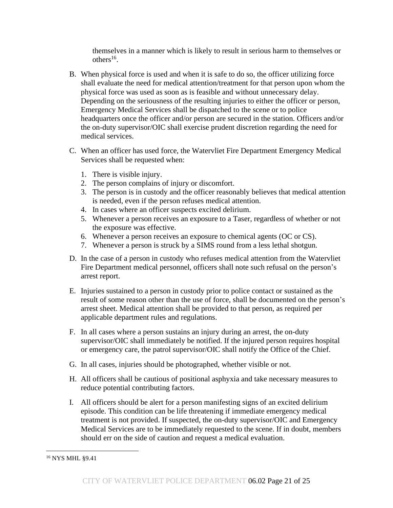themselves in a manner which is likely to result in serious harm to themselves or others $^{16}$ .

- B. When physical force is used and when it is safe to do so, the officer utilizing force shall evaluate the need for medical attention/treatment for that person upon whom the physical force was used as soon as is feasible and without unnecessary delay. Depending on the seriousness of the resulting injuries to either the officer or person, Emergency Medical Services shall be dispatched to the scene or to police headquarters once the officer and/or person are secured in the station. Officers and/or the on-duty supervisor/OIC shall exercise prudent discretion regarding the need for medical services.
- C. When an officer has used force, the Watervliet Fire Department Emergency Medical Services shall be requested when:
	- 1. There is visible injury.
	- 2. The person complains of injury or discomfort.
	- 3. The person is in custody and the officer reasonably believes that medical attention is needed, even if the person refuses medical attention.
	- 4. In cases where an officer suspects excited delirium.
	- 5. Whenever a person receives an exposure to a Taser, regardless of whether or not the exposure was effective.
	- 6. Whenever a person receives an exposure to chemical agents (OC or CS).
	- 7. Whenever a person is struck by a SIMS round from a less lethal shotgun.
- D. In the case of a person in custody who refuses medical attention from the Watervliet Fire Department medical personnel, officers shall note such refusal on the person's arrest report.
- E. Injuries sustained to a person in custody prior to police contact or sustained as the result of some reason other than the use of force, shall be documented on the person's arrest sheet. Medical attention shall be provided to that person, as required per applicable department rules and regulations.
- F. In all cases where a person sustains an injury during an arrest, the on-duty supervisor/OIC shall immediately be notified. If the injured person requires hospital or emergency care, the patrol supervisor/OIC shall notify the Office of the Chief.
- G. In all cases, injuries should be photographed, whether visible or not.
- H. All officers shall be cautious of positional asphyxia and take necessary measures to reduce potential contributing factors.
- I. All officers should be alert for a person manifesting signs of an excited delirium episode. This condition can be life threatening if immediate emergency medical treatment is not provided. If suspected, the on-duty supervisor/OIC and Emergency Medical Services are to be immediately requested to the scene. If in doubt, members should err on the side of caution and request a medical evaluation.

<sup>16</sup> NYS MHL §9.41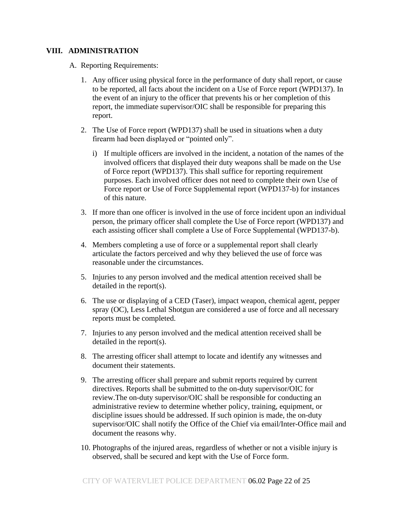#### **VIII. ADMINISTRATION**

- A. Reporting Requirements:
	- 1. Any officer using physical force in the performance of duty shall report, or cause to be reported, all facts about the incident on a Use of Force report (WPD137). In the event of an injury to the officer that prevents his or her completion of this report, the immediate supervisor/OIC shall be responsible for preparing this report.
	- 2. The Use of Force report (WPD137) shall be used in situations when a duty firearm had been displayed or "pointed only".
		- i) If multiple officers are involved in the incident, a notation of the names of the involved officers that displayed their duty weapons shall be made on the Use of Force report (WPD137). This shall suffice for reporting requirement purposes. Each involved officer does not need to complete their own Use of Force report or Use of Force Supplemental report (WPD137-b) for instances of this nature.
	- 3. If more than one officer is involved in the use of force incident upon an individual person, the primary officer shall complete the Use of Force report (WPD137) and each assisting officer shall complete a Use of Force Supplemental (WPD137-b).
	- 4. Members completing a use of force or a supplemental report shall clearly articulate the factors perceived and why they believed the use of force was reasonable under the circumstances.
	- 5. Injuries to any person involved and the medical attention received shall be detailed in the report(s).
	- 6. The use or displaying of a CED (Taser), impact weapon, chemical agent, pepper spray (OC), Less Lethal Shotgun are considered a use of force and all necessary reports must be completed.
	- 7. Injuries to any person involved and the medical attention received shall be detailed in the report(s).
	- 8. The arresting officer shall attempt to locate and identify any witnesses and document their statements.
	- 9. The arresting officer shall prepare and submit reports required by current directives. Reports shall be submitted to the on-duty supervisor/OIC for review.The on-duty supervisor/OIC shall be responsible for conducting an administrative review to determine whether policy, training, equipment, or discipline issues should be addressed. If such opinion is made, the on-duty supervisor/OIC shall notify the Office of the Chief via email/Inter-Office mail and document the reasons why.
	- 10. Photographs of the injured areas, regardless of whether or not a visible injury is observed, shall be secured and kept with the Use of Force form.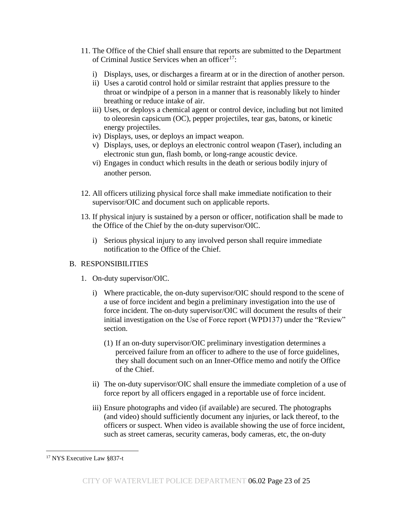- 11. The Office of the Chief shall ensure that reports are submitted to the Department of Criminal Justice Services when an officer $17$ :
	- i) Displays, uses, or discharges a firearm at or in the direction of another person.
	- ii) Uses a carotid control hold or similar restraint that applies pressure to the throat or windpipe of a person in a manner that is reasonably likely to hinder breathing or reduce intake of air.
	- iii) Uses, or deploys a chemical agent or control device, including but not limited to oleoresin capsicum (OC), pepper projectiles, tear gas, batons, or kinetic energy projectiles.
	- iv) Displays, uses, or deploys an impact weapon.
	- v) Displays, uses, or deploys an electronic control weapon (Taser), including an electronic stun gun, flash bomb, or long-range acoustic device.
	- vi) Engages in conduct which results in the death or serious bodily injury of another person.
- 12. All officers utilizing physical force shall make immediate notification to their supervisor/OIC and document such on applicable reports.
- 13. If physical injury is sustained by a person or officer, notification shall be made to the Office of the Chief by the on-duty supervisor/OIC.
	- i) Serious physical injury to any involved person shall require immediate notification to the Office of the Chief.

## B. RESPONSIBILITIES

- 1. On-duty supervisor/OIC.
	- i) Where practicable, the on-duty supervisor/OIC should respond to the scene of a use of force incident and begin a preliminary investigation into the use of force incident. The on-duty supervisor/OIC will document the results of their initial investigation on the Use of Force report (WPD137) under the "Review" section.
		- (1) If an on-duty supervisor/OIC preliminary investigation determines a perceived failure from an officer to adhere to the use of force guidelines, they shall document such on an Inner-Office memo and notify the Office of the Chief.
	- ii) The on-duty supervisor/OIC shall ensure the immediate completion of a use of force report by all officers engaged in a reportable use of force incident.
	- iii) Ensure photographs and video (if available) are secured. The photographs (and video) should sufficiently document any injuries, or lack thereof, to the officers or suspect. When video is available showing the use of force incident, such as street cameras, security cameras, body cameras, etc, the on-duty

<sup>&</sup>lt;sup>17</sup> NYS Executive Law §837-t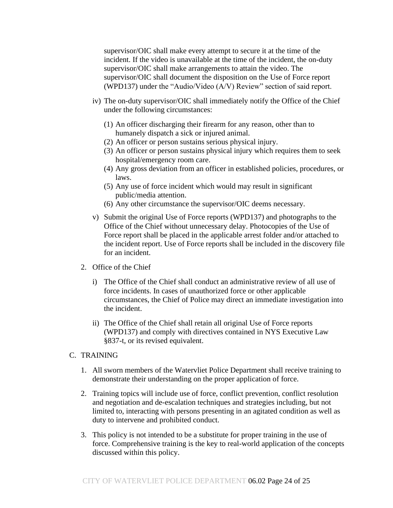supervisor/OIC shall make every attempt to secure it at the time of the incident. If the video is unavailable at the time of the incident, the on-duty supervisor/OIC shall make arrangements to attain the video. The supervisor/OIC shall document the disposition on the Use of Force report (WPD137) under the "Audio/Video (A/V) Review" section of said report.

- iv) The on-duty supervisor/OIC shall immediately notify the Office of the Chief under the following circumstances:
	- (1) An officer discharging their firearm for any reason, other than to humanely dispatch a sick or injured animal.
	- (2) An officer or person sustains serious physical injury.
	- (3) An officer or person sustains physical injury which requires them to seek hospital/emergency room care.
	- (4) Any gross deviation from an officer in established policies, procedures, or laws.
	- (5) Any use of force incident which would may result in significant public/media attention.
	- (6) Any other circumstance the supervisor/OIC deems necessary.
- v) Submit the original Use of Force reports (WPD137) and photographs to the Office of the Chief without unnecessary delay. Photocopies of the Use of Force report shall be placed in the applicable arrest folder and/or attached to the incident report. Use of Force reports shall be included in the discovery file for an incident.
- 2. Office of the Chief
	- i) The Office of the Chief shall conduct an administrative review of all use of force incidents. In cases of unauthorized force or other applicable circumstances, the Chief of Police may direct an immediate investigation into the incident.
	- ii) The Office of the Chief shall retain all original Use of Force reports (WPD137) and comply with directives contained in NYS Executive Law §837-t, or its revised equivalent.
- C. TRAINING
	- 1. All sworn members of the Watervliet Police Department shall receive training to demonstrate their understanding on the proper application of force.
	- 2. Training topics will include use of force, conflict prevention, conflict resolution and negotiation and de-escalation techniques and strategies including, but not limited to, interacting with persons presenting in an agitated condition as well as duty to intervene and prohibited conduct.
	- 3. This policy is not intended to be a substitute for proper training in the use of force. Comprehensive training is the key to real-world application of the concepts discussed within this policy.